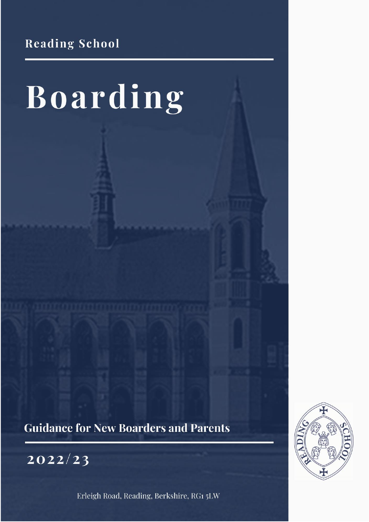**Reading School** 

# Boarding

**Guidance for New Boarders and Parents** 

2022/23

Erleigh Road, Reading, Berkshire, RG1 5LW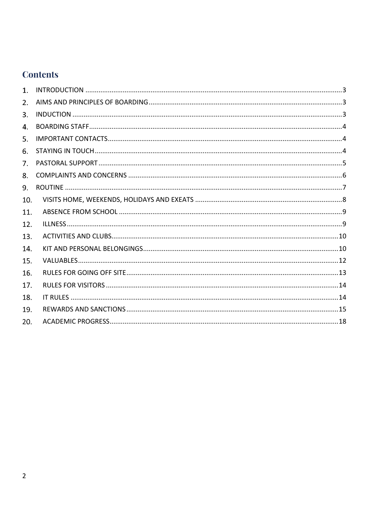# **Contents**

| 1.  |  |
|-----|--|
| 2.  |  |
| 3.  |  |
| 4.  |  |
| 5.  |  |
| 6.  |  |
| 7.  |  |
| 8.  |  |
| 9.  |  |
| 10. |  |
| 11. |  |
| 12. |  |
| 13. |  |
| 14. |  |
| 15. |  |
| 16. |  |
| 17. |  |
| 18. |  |
| 19. |  |
| 20. |  |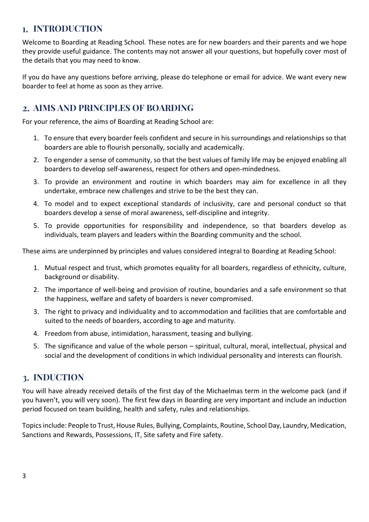# <span id="page-2-0"></span>**I. INTRODUCTION**

Welcome to Boarding at Reading School. These notes are for new boarders and their parents and we hope they provide useful guidance. The contents may not answer all your questions, but hopefully cover most of the details that you may need to know.

If you do have any questions before arriving, please do telephone or email for advice. We want every new boarder to feel at home as soon as they arrive.

# <span id="page-2-1"></span>**AIMS AND PRINCIPLES OF BOARDING**

For your reference, the aims of Boarding at Reading School are:

- 1. To ensure that every boarder feels confident and secure in his surroundings and relationships so that boarders are able to flourish personally, socially and academically.
- 2. To engender a sense of community, so that the best values of family life may be enjoyed enabling all boarders to develop self-awareness, respect for others and open-mindedness.
- 3. To provide an environment and routine in which boarders may aim for excellence in all they undertake, embrace new challenges and strive to be the best they can.
- 4. To model and to expect exceptional standards of inclusivity, care and personal conduct so that boarders develop a sense of moral awareness, self-discipline and integrity.
- 5. To provide opportunities for responsibility and independence, so that boarders develop as individuals, team players and leaders within the Boarding community and the school.

These aims are underpinned by principles and values considered integral to Boarding at Reading School:

- 1. Mutual respect and trust, which promotes equality for all boarders, regardless of ethnicity, culture, background or disability.
- 2. The importance of well-being and provision of routine, boundaries and a safe environment so that the happiness, welfare and safety of boarders is never compromised.
- 3. The right to privacy and individuality and to accommodation and facilities that are comfortable and suited to the needs of boarders, according to age and maturity.
- 4. Freedom from abuse, intimidation, harassment, teasing and bullying.
- 5. The significance and value of the whole person spiritual, cultural, moral, intellectual, physical and social and the development of conditions in which individual personality and interests can flourish.

# <span id="page-2-2"></span>**INDUCTION**

You will have already received details of the first day of the Michaelmas term in the welcome pack (and if you haven't, you will very soon). The first few days in Boarding are very important and include an induction period focused on team building, health and safety, rules and relationships.

Topics include: People to Trust, House Rules, Bullying, Complaints, Routine, School Day, Laundry, Medication, Sanctions and Rewards, Possessions, IT, Site safety and Fire safety.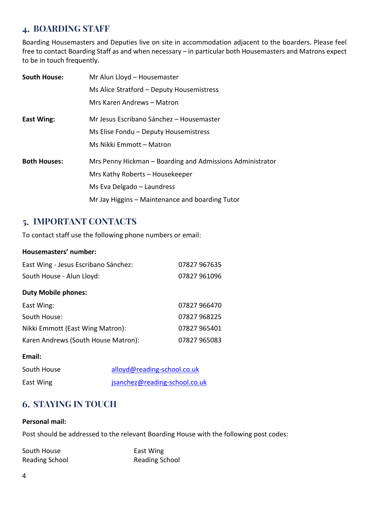# <span id="page-3-0"></span>**BOARDING STAFF**

Boarding Housemasters and Deputies live on site in accommodation adjacent to the boarders. Please feel free to contact Boarding Staff as and when necessary – in particular both Housemasters and Matrons expect to be in touch frequently.

| <b>South House:</b> | Mr Alun Lloyd - Housemaster                               |
|---------------------|-----------------------------------------------------------|
|                     | Ms Alice Stratford - Deputy Housemistress                 |
|                     | Mrs Karen Andrews - Matron                                |
| East Wing:          | Mr Jesus Escribano Sánchez - Housemaster                  |
|                     | Ms Elise Fondu - Deputy Housemistress                     |
|                     | Ms Nikki Emmott – Matron                                  |
| <b>Both Houses:</b> | Mrs Penny Hickman – Boarding and Admissions Administrator |
|                     | Mrs Kathy Roberts - Housekeeper                           |
|                     | Ms Eva Delgado - Laundress                                |
|                     | Mr Jay Higgins – Maintenance and boarding Tutor           |

# <span id="page-3-1"></span>**IMPORTANT CONTACTS**

To contact staff use the following phone numbers or email:

#### **Housemasters' number:**

| East Wing - Jesus Escribano Sánchez: | 07827 967635 |
|--------------------------------------|--------------|
| South House - Alun Lloyd:            | 07827 961096 |
| <b>Duty Mobile phones:</b>           |              |
| East Wing:                           | 07827 966470 |
| South House:                         | 07827 968225 |
| Nikki Emmott (East Wing Matron):     | 07827 965401 |
| Karen Andrews (South House Matron):  | 07827 965083 |

#### **Email:**

| South House | alloyd@reading-school.co.uk   |
|-------------|-------------------------------|
| East Wing   | jsanchez@reading-school.co.uk |

# <span id="page-3-2"></span>**STAYING IN TOUCH**

#### **Personal mail:**

Post should be addressed to the relevant Boarding House with the following post codes:

| South House           | East Wing             |
|-----------------------|-----------------------|
| <b>Reading School</b> | <b>Reading School</b> |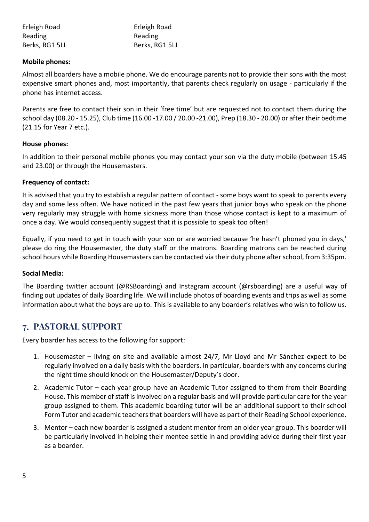| Erleigh Road   | Erleigh Road   |
|----------------|----------------|
| Reading        | Reading        |
| Berks, RG1 5LL | Berks, RG1 5LJ |

#### **Mobile phones:**

Almost all boarders have a mobile phone. We do encourage parents not to provide their sons with the most expensive smart phones and, most importantly, that parents check regularly on usage - particularly if the phone has internet access.

Parents are free to contact their son in their 'free time' but are requested not to contact them during the school day (08.20 - 15.25), Club time (16.00 -17.00 / 20.00 -21.00), Prep (18.30 - 20.00) or after their bedtime (21.15 for Year 7 etc.).

#### **House phones:**

In addition to their personal mobile phones you may contact your son via the duty mobile (between 15.45 and 23.00) or through the Housemasters.

#### **Frequency of contact:**

It is advised that you try to establish a regular pattern of contact - some boys want to speak to parents every day and some less often. We have noticed in the past few years that junior boys who speak on the phone very regularly may struggle with home sickness more than those whose contact is kept to a maximum of once a day. We would consequently suggest that it is possible to speak too often!

Equally, if you need to get in touch with your son or are worried because 'he hasn't phoned you in days,' please do ring the Housemaster, the duty staff or the matrons. Boarding matrons can be reached during school hours while Boarding Housemasters can be contacted via their duty phone after school, from 3:35pm.

#### **Social Media:**

The Boarding twitter account (@RSBoarding) and Instagram account (@rsboarding) are a useful way of finding out updates of daily Boarding life. We will include photos of boarding events and trips as well as some information about what the boys are up to. This is available to any boarder's relatives who wish to follow us.

# <span id="page-4-0"></span>**PASTORAL SUPPORT**

Every boarder has access to the following for support:

- 1. Housemaster living on site and available almost 24/7, Mr Lloyd and Mr Sánchez expect to be regularly involved on a daily basis with the boarders. In particular, boarders with any concerns during the night time should knock on the Housemaster/Deputy's door.
- 2. Academic Tutor each year group have an Academic Tutor assigned to them from their Boarding House. This member of staff is involved on a regular basis and will provide particular care for the year group assigned to them. This academic boarding tutor will be an additional support to their school Form Tutor and academic teachers that boarders will have as part of their Reading School experience.
- 3. Mentor each new boarder is assigned a student mentor from an older year group. This boarder will be particularly involved in helping their mentee settle in and providing advice during their first year as a boarder.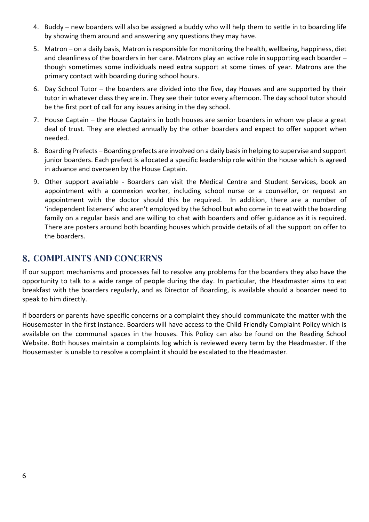- 4. Buddy new boarders will also be assigned a buddy who will help them to settle in to boarding life by showing them around and answering any questions they may have.
- 5. Matron on a daily basis, Matron is responsible for monitoring the health, wellbeing, happiness, diet and cleanliness of the boarders in her care. Matrons play an active role in supporting each boarder – though sometimes some individuals need extra support at some times of year. Matrons are the primary contact with boarding during school hours.
- 6. Day School Tutor the boarders are divided into the five, day Houses and are supported by their tutor in whatever class they are in. They see their tutor every afternoon. The day school tutor should be the first port of call for any issues arising in the day school.
- 7. House Captain the House Captains in both houses are senior boarders in whom we place a great deal of trust. They are elected annually by the other boarders and expect to offer support when needed.
- 8. Boarding Prefects Boarding prefects are involved on a daily basis in helping to supervise and support junior boarders. Each prefect is allocated a specific leadership role within the house which is agreed in advance and overseen by the House Captain.
- 9. Other support available Boarders can visit the Medical Centre and Student Services, book an appointment with a connexion worker, including school nurse or a counsellor, or request an appointment with the doctor should this be required. In addition, there are a number of 'independent listeners' who aren't employed by the School but who come in to eat with the boarding family on a regular basis and are willing to chat with boarders and offer guidance as it is required. There are posters around both boarding houses which provide details of all the support on offer to the boarders.

# <span id="page-5-0"></span>**8. COMPLAINTS AND CONCERNS**

If our support mechanisms and processes fail to resolve any problems for the boarders they also have the opportunity to talk to a wide range of people during the day. In particular, the Headmaster aims to eat breakfast with the boarders regularly, and as Director of Boarding, is available should a boarder need to speak to him directly.

If boarders or parents have specific concerns or a complaint they should communicate the matter with the Housemaster in the first instance. Boarders will have access to the Child Friendly Complaint Policy which is available on the communal spaces in the houses. This Policy can also be found on the Reading School Website. Both houses maintain a complaints log which is reviewed every term by the Headmaster. If the Housemaster is unable to resolve a complaint it should be escalated to the Headmaster.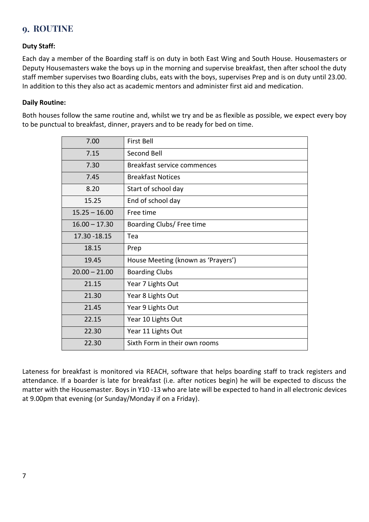# <span id="page-6-0"></span>**ROUTINE**

## **Duty Staff:**

Each day a member of the Boarding staff is on duty in both East Wing and South House. Housemasters or Deputy Housemasters wake the boys up in the morning and supervise breakfast, then after school the duty staff member supervises two Boarding clubs, eats with the boys, supervises Prep and is on duty until 23.00. In addition to this they also act as academic mentors and administer first aid and medication.

#### **Daily Routine:**

Both houses follow the same routine and, whilst we try and be as flexible as possible, we expect every boy to be punctual to breakfast, dinner, prayers and to be ready for bed on time.

| 7.00            | First Bell                         |
|-----------------|------------------------------------|
| 7.15            | Second Bell                        |
| 7.30            | Breakfast service commences        |
| 7.45            | <b>Breakfast Notices</b>           |
| 8.20            | Start of school day                |
| 15.25           | End of school day                  |
| $15.25 - 16.00$ | Free time                          |
| $16.00 - 17.30$ | Boarding Clubs/ Free time          |
| 17.30 - 18.15   | Tea                                |
| 18.15           | Prep                               |
| 19.45           | House Meeting (known as 'Prayers') |
| $20.00 - 21.00$ | <b>Boarding Clubs</b>              |
| 21.15           | Year 7 Lights Out                  |
| 21.30           | Year 8 Lights Out                  |
| 21.45           | Year 9 Lights Out                  |
| 22.15           | Year 10 Lights Out                 |
| 22.30           | Year 11 Lights Out                 |
| 22.30           | Sixth Form in their own rooms      |

Lateness for breakfast is monitored via REACH, software that helps boarding staff to track registers and attendance. If a boarder is late for breakfast (i.e. after notices begin) he will be expected to discuss the matter with the Housemaster. Boys in Y10 -13 who are late will be expected to hand in all electronic devices at 9.00pm that evening (or Sunday/Monday if on a Friday).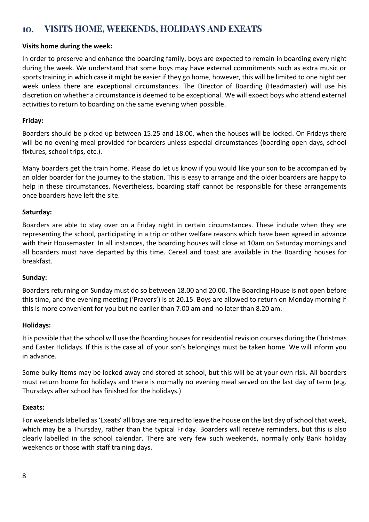#### <span id="page-7-0"></span>**VISITS HOME, WEEKENDS, HOLIDAYS AND EXEATS** 10.

## **Visits home during the week:**

In order to preserve and enhance the boarding family, boys are expected to remain in boarding every night during the week. We understand that some boys may have external commitments such as extra music or sports training in which case it might be easier if they go home, however, this will be limited to one night per week unless there are exceptional circumstances. The Director of Boarding (Headmaster) will use his discretion on whether a circumstance is deemed to be exceptional. We will expect boys who attend external activities to return to boarding on the same evening when possible.

## **Friday:**

Boarders should be picked up between 15.25 and 18.00, when the houses will be locked. On Fridays there will be no evening meal provided for boarders unless especial circumstances (boarding open days, school fixtures, school trips, etc.).

Many boarders get the train home. Please do let us know if you would like your son to be accompanied by an older boarder for the journey to the station. This is easy to arrange and the older boarders are happy to help in these circumstances. Nevertheless, boarding staff cannot be responsible for these arrangements once boarders have left the site.

## **Saturday:**

Boarders are able to stay over on a Friday night in certain circumstances. These include when they are representing the school, participating in a trip or other welfare reasons which have been agreed in advance with their Housemaster. In all instances, the boarding houses will close at 10am on Saturday mornings and all boarders must have departed by this time. Cereal and toast are available in the Boarding houses for breakfast.

## **Sunday:**

Boarders returning on Sunday must do so between 18.00 and 20.00. The Boarding House is not open before this time, and the evening meeting ('Prayers') is at 20.15. Boys are allowed to return on Monday morning if this is more convenient for you but no earlier than 7.00 am and no later than 8.20 am.

## **Holidays:**

It is possible that the school will use the Boarding houses for residential revision courses during the Christmas and Easter Holidays. If this is the case all of your son's belongings must be taken home. We will inform you in advance.

Some bulky items may be locked away and stored at school, but this will be at your own risk. All boarders must return home for holidays and there is normally no evening meal served on the last day of term (e.g. Thursdays after school has finished for the holidays.)

## **Exeats:**

For weekends labelled as 'Exeats' all boys are required to leave the house on the last day of school that week, which may be a Thursday, rather than the typical Friday. Boarders will receive reminders, but this is also clearly labelled in the school calendar. There are very few such weekends, normally only Bank holiday weekends or those with staff training days.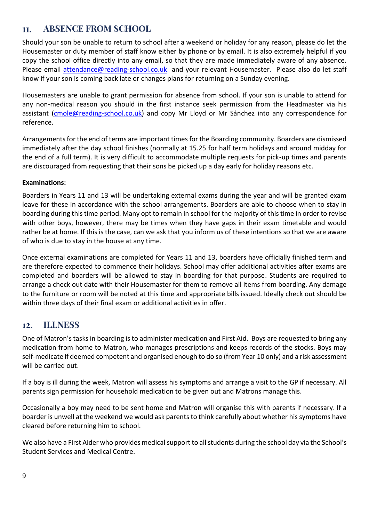#### <span id="page-8-0"></span> **ABSENCE FROM SCHOOL** 11.

Should your son be unable to return to school after a weekend or holiday for any reason, please do let the Housemaster or duty member of staff know either by phone or by email. It is also extremely helpful if you copy the school office directly into any email, so that they are made immediately aware of any absence. Please email [attendance@reading-school.co.uk](mailto:attendance@reading-school.co.uk) and your relevant Housemaster. Please also do let staff know if your son is coming back late or changes plans for returning on a Sunday evening.

Housemasters are unable to grant permission for absence from school. If your son is unable to attend for any non-medical reason you should in the first instance seek permission from the Headmaster via his assistant [\(cmole@reading-school.co.uk\)](mailto:cmole@reading-school.co.uk) and copy Mr Lloyd or Mr Sánchez into any correspondence for reference.

Arrangements for the end of terms are important times for the Boarding community. Boarders are dismissed immediately after the day school finishes (normally at 15.25 for half term holidays and around midday for the end of a full term). It is very difficult to accommodate multiple requests for pick-up times and parents are discouraged from requesting that their sons be picked up a day early for holiday reasons etc.

## **Examinations:**

Boarders in Years 11 and 13 will be undertaking external exams during the year and will be granted exam leave for these in accordance with the school arrangements. Boarders are able to choose when to stay in boarding during this time period. Many opt to remain in school for the majority of this time in order to revise with other boys, however, there may be times when they have gaps in their exam timetable and would rather be at home. If this is the case, can we ask that you inform us of these intentions so that we are aware of who is due to stay in the house at any time.

Once external examinations are completed for Years 11 and 13, boarders have officially finished term and are therefore expected to commence their holidays. School may offer additional activities after exams are completed and boarders will be allowed to stay in boarding for that purpose. Students are required to arrange a check out date with their Housemaster for them to remove all items from boarding. Any damage to the furniture or room will be noted at this time and appropriate bills issued. Ideally check out should be within three days of their final exam or additional activities in offer.

# <span id="page-8-1"></span> **ILLNESS**

One of Matron's tasks in boarding is to administer medication and First Aid. Boys are requested to bring any medication from home to Matron, who manages prescriptions and keeps records of the stocks. Boys may self-medicate if deemed competent and organised enough to do so (from Year 10 only) and a risk assessment will be carried out.

If a boy is ill during the week, Matron will assess his symptoms and arrange a visit to the GP if necessary. All parents sign permission for household medication to be given out and Matrons manage this.

Occasionally a boy may need to be sent home and Matron will organise this with parents if necessary. If a boarder is unwell at the weekend we would ask parents to think carefully about whether his symptoms have cleared before returning him to school.

We also have a First Aider who provides medical support to all students during the school day via the School's Student Services and Medical Centre.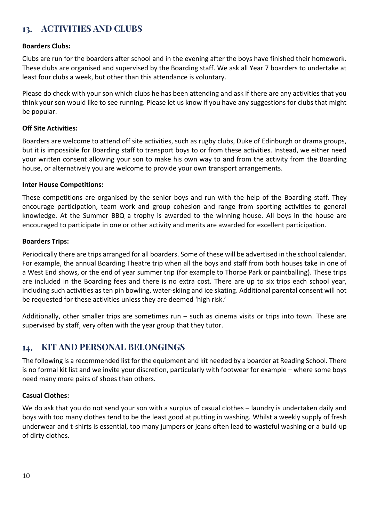# <span id="page-9-0"></span> **ACTIVITIES AND CLUBS**

#### **Boarders Clubs:**

Clubs are run for the boarders after school and in the evening after the boys have finished their homework. These clubs are organised and supervised by the Boarding staff. We ask all Year 7 boarders to undertake at least four clubs a week, but other than this attendance is voluntary.

Please do check with your son which clubs he has been attending and ask if there are any activities that you think your son would like to see running. Please let us know if you have any suggestions for clubs that might be popular.

#### **Off Site Activities:**

Boarders are welcome to attend off site activities, such as rugby clubs, Duke of Edinburgh or drama groups, but it is impossible for Boarding staff to transport boys to or from these activities. Instead, we either need your written consent allowing your son to make his own way to and from the activity from the Boarding house, or alternatively you are welcome to provide your own transport arrangements.

#### **Inter House Competitions:**

These competitions are organised by the senior boys and run with the help of the Boarding staff. They encourage participation, team work and group cohesion and range from sporting activities to general knowledge. At the Summer BBQ a trophy is awarded to the winning house. All boys in the house are encouraged to participate in one or other activity and merits are awarded for excellent participation.

#### **Boarders Trips:**

Periodically there are trips arranged for all boarders. Some of these will be advertised in the school calendar. For example, the annual Boarding Theatre trip when all the boys and staff from both houses take in one of a West End shows, or the end of year summer trip (for example to Thorpe Park or paintballing). These trips are included in the Boarding fees and there is no extra cost. There are up to six trips each school year, including such activities as ten pin bowling, water-skiing and ice skating. Additional parental consent will not be requested for these activities unless they are deemed 'high risk.'

Additionally, other smaller trips are sometimes run – such as cinema visits or trips into town. These are supervised by staff, very often with the year group that they tutor.

# <span id="page-9-1"></span>14. KIT AND PERSONAL BELONGINGS

The following is a recommended list for the equipment and kit needed by a boarder at Reading School. There is no formal kit list and we invite your discretion, particularly with footwear for example – where some boys need many more pairs of shoes than others.

## **Casual Clothes:**

We do ask that you do not send your son with a surplus of casual clothes – laundry is undertaken daily and boys with too many clothes tend to be the least good at putting in washing. Whilst a weekly supply of fresh underwear and t-shirts is essential, too many jumpers or jeans often lead to wasteful washing or a build-up of dirty clothes.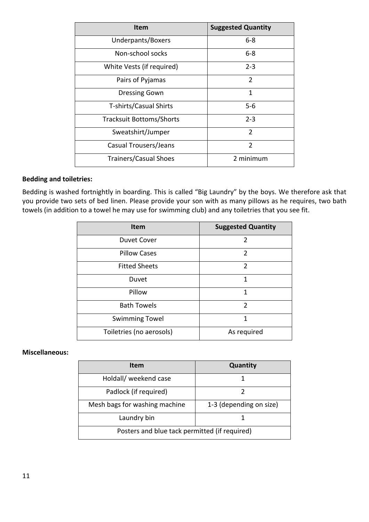| <b>Item</b>                     | <b>Suggested Quantity</b> |
|---------------------------------|---------------------------|
| Underpants/Boxers               | $6 - 8$                   |
| Non-school socks                | $6 - 8$                   |
| White Vests (if required)       | $2 - 3$                   |
| Pairs of Pyjamas                | $\overline{2}$            |
| <b>Dressing Gown</b>            | 1                         |
| T-shirts/Casual Shirts          | 5-6                       |
| <b>Tracksuit Bottoms/Shorts</b> | $2 - 3$                   |
| Sweatshirt/Jumper               | $\mathcal{P}$             |
| Casual Trousers/Jeans           | $\overline{2}$            |
| <b>Trainers/Casual Shoes</b>    | 2 minimum                 |

## **Bedding and toiletries:**

Bedding is washed fortnightly in boarding. This is called "Big Laundry" by the boys. We therefore ask that you provide two sets of bed linen. Please provide your son with as many pillows as he requires, two bath towels (in addition to a towel he may use for swimming club) and any toiletries that you see fit.

| <b>Item</b>              | <b>Suggested Quantity</b> |
|--------------------------|---------------------------|
| <b>Duvet Cover</b>       | $\mathfrak z$             |
| <b>Pillow Cases</b>      | $\mathfrak{D}$            |
| <b>Fitted Sheets</b>     | $\overline{2}$            |
| Duvet                    | 1                         |
| Pillow                   | 1                         |
| <b>Bath Towels</b>       | $\mathcal{P}$             |
| <b>Swimming Towel</b>    | 1                         |
| Toiletries (no aerosols) | As required               |

#### **Miscellaneous:**

| <b>Item</b>                                   | <b>Quantity</b>         |
|-----------------------------------------------|-------------------------|
| Holdall/ weekend case                         |                         |
| Padlock (if required)                         |                         |
| Mesh bags for washing machine                 | 1-3 (depending on size) |
| Laundry bin                                   |                         |
| Posters and blue tack permitted (if required) |                         |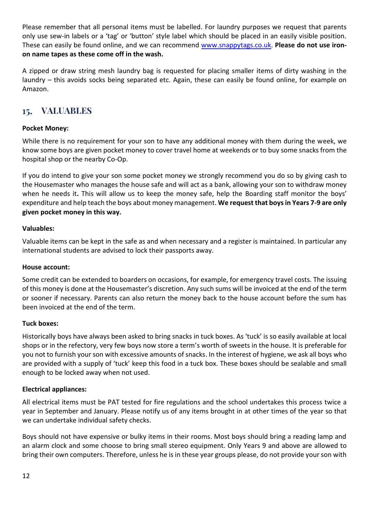Please remember that all personal items must be labelled. For laundry purposes we request that parents only use sew-in labels or a 'tag' or 'button' style label which should be placed in an easily visible position. These can easily be found online, and we can recommend [www.snappytags.co.uk.](http://www.snappytags.co.uk/) **Please do not use ironon name tapes as these come off in the wash.**

A zipped or draw string mesh laundry bag is requested for placing smaller items of dirty washing in the laundry – this avoids socks being separated etc. Again, these can easily be found online, for example on Amazon.

# <span id="page-11-0"></span> **VALUABLES**

## **Pocket Money:**

While there is no requirement for your son to have any additional money with them during the week, we know some boys are given pocket money to cover travel home at weekends or to buy some snacks from the hospital shop or the nearby Co-Op.

If you do intend to give your son some pocket money we strongly recommend you do so by giving cash to the Housemaster who manages the house safe and will act as a bank, allowing your son to withdraw money when he needs it**.** This will allow us to keep the money safe, help the Boarding staff monitor the boys' expenditure and help teach the boys about money management. **We request that boys in Years 7-9 are only given pocket money in this way.**

#### **Valuables:**

Valuable items can be kept in the safe as and when necessary and a register is maintained. In particular any international students are advised to lock their passports away.

#### **House account:**

Some credit can be extended to boarders on occasions, for example, for emergency travel costs. The issuing of this money is done at the Housemaster's discretion. Any such sums will be invoiced at the end of the term or sooner if necessary. Parents can also return the money back to the house account before the sum has been invoiced at the end of the term.

## **Tuck boxes:**

Historically boys have always been asked to bring snacks in tuck boxes. As 'tuck' is so easily available at local shops or in the refectory, very few boys now store a term's worth of sweets in the house. It is preferable for you not to furnish your son with excessive amounts of snacks. In the interest of hygiene, we ask all boys who are provided with a supply of 'tuck' keep this food in a tuck box. These boxes should be sealable and small enough to be locked away when not used.

## **Electrical appliances:**

All electrical items must be PAT tested for fire regulations and the school undertakes this process twice a year in September and January. Please notify us of any items brought in at other times of the year so that we can undertake individual safety checks.

Boys should not have expensive or bulky items in their rooms. Most boys should bring a reading lamp and an alarm clock and some choose to bring small stereo equipment. Only Years 9 and above are allowed to bring their own computers. Therefore, unless he is in these year groups please, do not provide your son with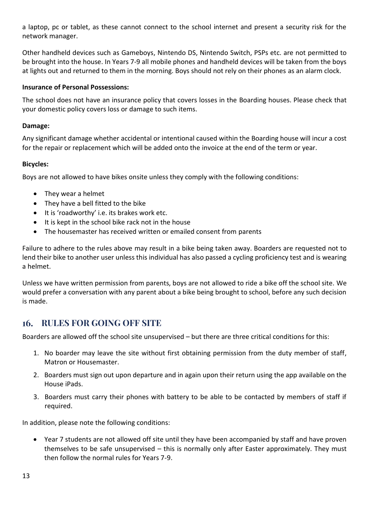a laptop, pc or tablet, as these cannot connect to the school internet and present a security risk for the network manager.

Other handheld devices such as Gameboys, Nintendo DS, Nintendo Switch, PSPs etc. are not permitted to be brought into the house. In Years 7-9 all mobile phones and handheld devices will be taken from the boys at lights out and returned to them in the morning. Boys should not rely on their phones as an alarm clock.

#### **Insurance of Personal Possessions:**

The school does not have an insurance policy that covers losses in the Boarding houses. Please check that your domestic policy covers loss or damage to such items.

#### **Damage:**

Any significant damage whether accidental or intentional caused within the Boarding house will incur a cost for the repair or replacement which will be added onto the invoice at the end of the term or year.

#### **Bicycles:**

Boys are not allowed to have bikes onsite unless they comply with the following conditions:

- They wear a helmet
- They have a bell fitted to the bike
- It is 'roadworthy' i.e. its brakes work etc.
- It is kept in the school bike rack not in the house
- The housemaster has received written or emailed consent from parents

Failure to adhere to the rules above may result in a bike being taken away. Boarders are requested not to lend their bike to another user unless this individual has also passed a cycling proficiency test and is wearing a helmet.

Unless we have written permission from parents, boys are not allowed to ride a bike off the school site. We would prefer a conversation with any parent about a bike being brought to school, before any such decision is made.

## <span id="page-12-0"></span> **RULES FOR GOING OFF SITE**

Boarders are allowed off the school site unsupervised – but there are three critical conditions for this:

- 1. No boarder may leave the site without first obtaining permission from the duty member of staff, Matron or Housemaster.
- 2. Boarders must sign out upon departure and in again upon their return using the app available on the House iPads.
- 3. Boarders must carry their phones with battery to be able to be contacted by members of staff if required.

In addition, please note the following conditions:

• Year 7 students are not allowed off site until they have been accompanied by staff and have proven themselves to be safe unsupervised – this is normally only after Easter approximately. They must then follow the normal rules for Years 7-9.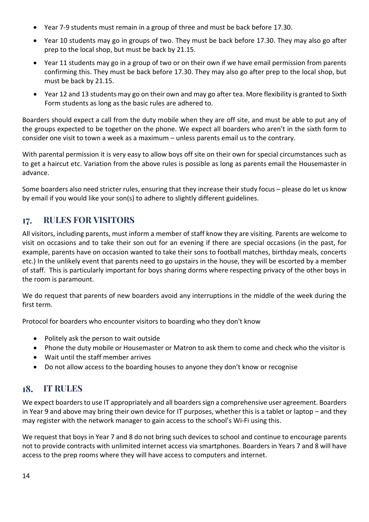- Year 7-9 students must remain in a group of three and must be back before 17.30.
- Year 10 students may go in groups of two. They must be back before 17.30. They may also go after prep to the local shop, but must be back by 21.15.
- Year 11 students may go in a group of two or on their own if we have email permission from parents confirming this. They must be back before 17.30. They may also go after prep to the local shop, but must be back by 21.15.
- Year 12 and 13 students may go on their own and may go after tea. More flexibility is granted to Sixth Form students as long as the basic rules are adhered to.

Boarders should expect a call from the duty mobile when they are off site, and must be able to put any of the groups expected to be together on the phone. We expect all boarders who aren't in the sixth form to consider one visit to town a week as a maximum – unless parents email us to the contrary.

With parental permission it is very easy to allow boys off site on their own for special circumstances such as to get a haircut etc. Variation from the above rules is possible as long as parents email the Housemaster in advance.

Some boarders also need stricter rules, ensuring that they increase their study focus – please do let us know by email if you would like your son(s) to adhere to slightly different guidelines.

#### <span id="page-13-0"></span> **RULES FOR VISITORS** 17.

All visitors, including parents, must inform a member of staff know they are visiting. Parents are welcome to visit on occasions and to take their son out for an evening if there are special occasions (in the past, for example, parents have on occasion wanted to take their sons to football matches, birthday meals, concerts etc.) In the unlikely event that parents need to go upstairs in the house, they will be escorted by a member of staff. This is particularly important for boys sharing dorms where respecting privacy of the other boys in the room is paramount.

We do request that parents of new boarders avoid any interruptions in the middle of the week during the first term.

Protocol for boarders who encounter visitors to boarding who they don't know

- Politely ask the person to wait outside
- Phone the duty mobile or Housemaster or Matron to ask them to come and check who the visitor is
- Wait until the staff member arrives
- <span id="page-13-1"></span>• Do not allow access to the boarding houses to anyone they don't know or recognise

# **IT RULES**

We expect boarders to use IT appropriately and all boarders sign a comprehensive user agreement. Boarders in Year 9 and above may bring their own device for IT purposes, whether this is a tablet or laptop – and they may register with the network manager to gain access to the school's Wi-Fi using this.

We request that boys in Year 7 and 8 do not bring such devices to school and continue to encourage parents not to provide contracts with unlimited internet access via smartphones. Boarders in Years 7 and 8 will have access to the prep rooms where they will have access to computers and internet.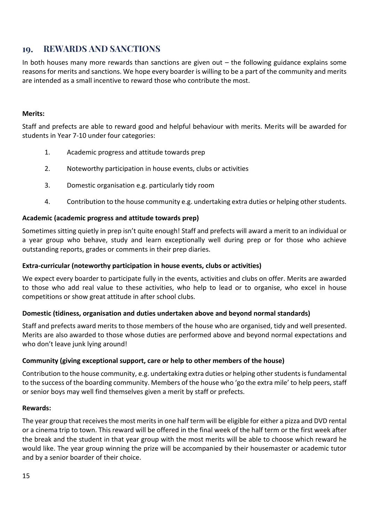#### <span id="page-14-0"></span> **REWARDS AND SANCTIONS** 10.

In both houses many more rewards than sanctions are given out  $-$  the following guidance explains some reasons for merits and sanctions. We hope every boarder is willing to be a part of the community and merits are intended as a small incentive to reward those who contribute the most.

#### **Merits:**

Staff and prefects are able to reward good and helpful behaviour with merits. Merits will be awarded for students in Year 7-10 under four categories:

- 1. Academic progress and attitude towards prep
- 2. Noteworthy participation in house events, clubs or activities
- 3. Domestic organisation e.g. particularly tidy room
- 4. Contribution to the house community e.g. undertaking extra duties or helping other students.

#### **Academic (academic progress and attitude towards prep)**

Sometimes sitting quietly in prep isn't quite enough! Staff and prefects will award a merit to an individual or a year group who behave, study and learn exceptionally well during prep or for those who achieve outstanding reports, grades or comments in their prep diaries.

## **Extra-curricular (noteworthy participation in house events, clubs or activities)**

We expect every boarder to participate fully in the events, activities and clubs on offer. Merits are awarded to those who add real value to these activities, who help to lead or to organise, who excel in house competitions or show great attitude in after school clubs.

#### **Domestic (tidiness, organisation and duties undertaken above and beyond normal standards)**

Staff and prefects award merits to those members of the house who are organised, tidy and well presented. Merits are also awarded to those whose duties are performed above and beyond normal expectations and who don't leave junk lying around!

#### **Community (giving exceptional support, care or help to other members of the house)**

Contribution to the house community, e.g. undertaking extra duties or helping other students is fundamental to the success of the boarding community. Members of the house who 'go the extra mile' to help peers, staff or senior boys may well find themselves given a merit by staff or prefects.

#### **Rewards:**

The year group that receives the most merits in one half term will be eligible for either a pizza and DVD rental or a cinema trip to town. This reward will be offered in the final week of the half term or the first week after the break and the student in that year group with the most merits will be able to choose which reward he would like. The year group winning the prize will be accompanied by their housemaster or academic tutor and by a senior boarder of their choice.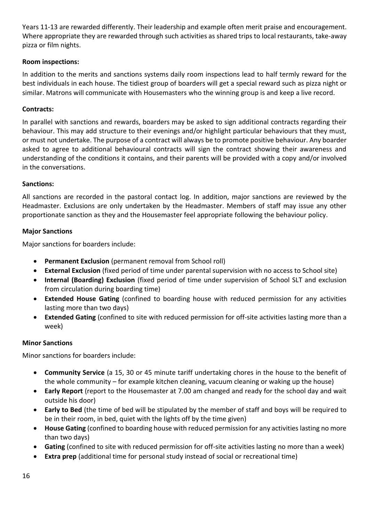Years 11-13 are rewarded differently. Their leadership and example often merit praise and encouragement. Where appropriate they are rewarded through such activities as shared trips to local restaurants, take-away pizza or film nights.

## **Room inspections:**

In addition to the merits and sanctions systems daily room inspections lead to half termly reward for the best individuals in each house. The tidiest group of boarders will get a special reward such as pizza night or similar. Matrons will communicate with Housemasters who the winning group is and keep a live record.

## **Contracts:**

In parallel with sanctions and rewards, boarders may be asked to sign additional contracts regarding their behaviour. This may add structure to their evenings and/or highlight particular behaviours that they must, or must not undertake. The purpose of a contract will always be to promote positive behaviour. Any boarder asked to agree to additional behavioural contracts will sign the contract showing their awareness and understanding of the conditions it contains, and their parents will be provided with a copy and/or involved in the conversations.

#### **Sanctions:**

All sanctions are recorded in the pastoral contact log. In addition, major sanctions are reviewed by the Headmaster. Exclusions are only undertaken by the Headmaster. Members of staff may issue any other proportionate sanction as they and the Housemaster feel appropriate following the behaviour policy.

#### **Major Sanctions**

Major sanctions for boarders include:

- **Permanent Exclusion** (permanent removal from School roll)
- **External Exclusion** (fixed period of time under parental supervision with no access to School site)
- **Internal (Boarding) Exclusion** (fixed period of time under supervision of School SLT and exclusion from circulation during boarding time)
- **Extended House Gating** (confined to boarding house with reduced permission for any activities lasting more than two days)
- **Extended Gating** (confined to site with reduced permission for off-site activities lasting more than a week)

## **Minor Sanctions**

Minor sanctions for boarders include:

- **Community Service** (a 15, 30 or 45 minute tariff undertaking chores in the house to the benefit of the whole community – for example kitchen cleaning, vacuum cleaning or waking up the house)
- **Early Report** (report to the Housemaster at 7.00 am changed and ready for the school day and wait outside his door)
- **Early to Bed** (the time of bed will be stipulated by the member of staff and boys will be required to be in their room, in bed, quiet with the lights off by the time given)
- **House Gating** (confined to boarding house with reduced permission for any activities lasting no more than two days)
- **Gating** (confined to site with reduced permission for off-site activities lasting no more than a week)
- **Extra prep** (additional time for personal study instead of social or recreational time)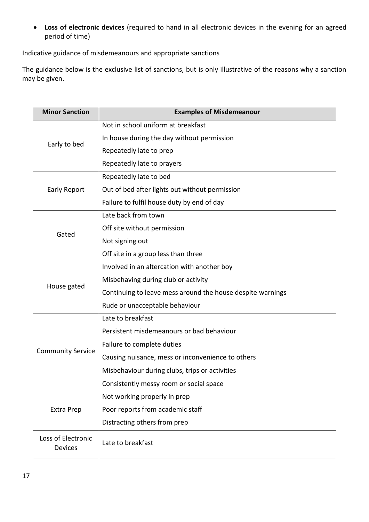• **Loss of electronic devices** (required to hand in all electronic devices in the evening for an agreed period of time)

Indicative guidance of misdemeanours and appropriate sanctions

The guidance below is the exclusive list of sanctions, but is only illustrative of the reasons why a sanction may be given.

| <b>Minor Sanction</b>         | <b>Examples of Misdemeanour</b>                            |
|-------------------------------|------------------------------------------------------------|
|                               | Not in school uniform at breakfast                         |
|                               | In house during the day without permission                 |
| Early to bed                  | Repeatedly late to prep                                    |
|                               | Repeatedly late to prayers                                 |
|                               | Repeatedly late to bed                                     |
| <b>Early Report</b>           | Out of bed after lights out without permission             |
|                               | Failure to fulfil house duty by end of day                 |
|                               | Late back from town                                        |
| Gated                         | Off site without permission                                |
|                               | Not signing out                                            |
|                               | Off site in a group less than three                        |
|                               | Involved in an altercation with another boy                |
| House gated                   | Misbehaving during club or activity                        |
|                               | Continuing to leave mess around the house despite warnings |
|                               | Rude or unacceptable behaviour                             |
|                               | Late to breakfast                                          |
|                               | Persistent misdemeanours or bad behaviour                  |
|                               | Failure to complete duties                                 |
| <b>Community Service</b>      | Causing nuisance, mess or inconvenience to others          |
|                               | Misbehaviour during clubs, trips or activities             |
|                               | Consistently messy room or social space                    |
|                               | Not working properly in prep                               |
| Extra Prep                    | Poor reports from academic staff                           |
|                               | Distracting others from prep                               |
| Loss of Electronic<br>Devices | Late to breakfast                                          |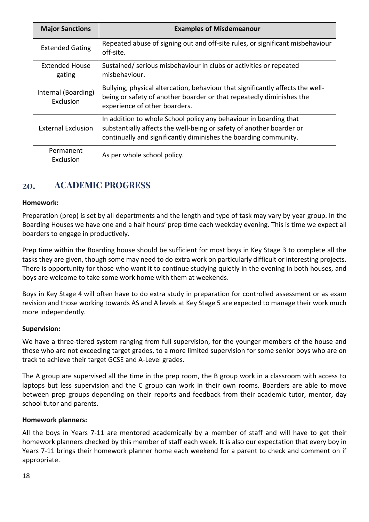| <b>Major Sanctions</b>                  | <b>Examples of Misdemeanour</b>                                                                                                                                                                               |
|-----------------------------------------|---------------------------------------------------------------------------------------------------------------------------------------------------------------------------------------------------------------|
| <b>Extended Gating</b>                  | Repeated abuse of signing out and off-site rules, or significant misbehaviour<br>off-site.                                                                                                                    |
| <b>Extended House</b><br>gating         | Sustained/ serious misbehaviour in clubs or activities or repeated<br>misbehaviour.                                                                                                                           |
| Internal (Boarding)<br><b>Exclusion</b> | Bullying, physical altercation, behaviour that significantly affects the well-<br>being or safety of another boarder or that repeatedly diminishes the<br>experience of other boarders.                       |
| <b>External Exclusion</b>               | In addition to whole School policy any behaviour in boarding that<br>substantially affects the well-being or safety of another boarder or<br>continually and significantly diminishes the boarding community. |
| Permanent<br>Exclusion                  | As per whole school policy.                                                                                                                                                                                   |

#### <span id="page-17-0"></span> **ACADEMIC PROGRESS** 20.

## **Homework:**

Preparation (prep) is set by all departments and the length and type of task may vary by year group. In the Boarding Houses we have one and a half hours' prep time each weekday evening. This is time we expect all boarders to engage in productively.

Prep time within the Boarding house should be sufficient for most boys in Key Stage 3 to complete all the tasks they are given, though some may need to do extra work on particularly difficult or interesting projects. There is opportunity for those who want it to continue studying quietly in the evening in both houses, and boys are welcome to take some work home with them at weekends.

Boys in Key Stage 4 will often have to do extra study in preparation for controlled assessment or as exam revision and those working towards AS and A levels at Key Stage 5 are expected to manage their work much more independently.

#### **Supervision:**

We have a three-tiered system ranging from full supervision, for the younger members of the house and those who are not exceeding target grades, to a more limited supervision for some senior boys who are on track to achieve their target GCSE and A-Level grades.

The A group are supervised all the time in the prep room, the B group work in a classroom with access to laptops but less supervision and the C group can work in their own rooms. Boarders are able to move between prep groups depending on their reports and feedback from their academic tutor, mentor, day school tutor and parents.

#### **Homework planners:**

All the boys in Years 7-11 are mentored academically by a member of staff and will have to get their homework planners checked by this member of staff each week. It is also our expectation that every boy in Years 7-11 brings their homework planner home each weekend for a parent to check and comment on if appropriate.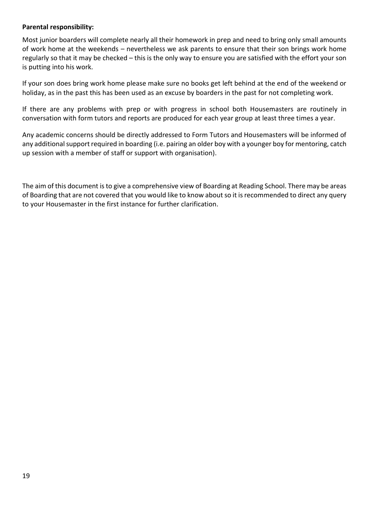#### **Parental responsibility:**

Most junior boarders will complete nearly all their homework in prep and need to bring only small amounts of work home at the weekends – nevertheless we ask parents to ensure that their son brings work home regularly so that it may be checked – this is the only way to ensure you are satisfied with the effort your son is putting into his work.

If your son does bring work home please make sure no books get left behind at the end of the weekend or holiday, as in the past this has been used as an excuse by boarders in the past for not completing work.

If there are any problems with prep or with progress in school both Housemasters are routinely in conversation with form tutors and reports are produced for each year group at least three times a year.

Any academic concerns should be directly addressed to Form Tutors and Housemasters will be informed of any additional support required in boarding (i.e. pairing an older boy with a younger boy for mentoring, catch up session with a member of staff or support with organisation).

The aim of this document is to give a comprehensive view of Boarding at Reading School. There may be areas of Boarding that are not covered that you would like to know about so it is recommended to direct any query to your Housemaster in the first instance for further clarification.